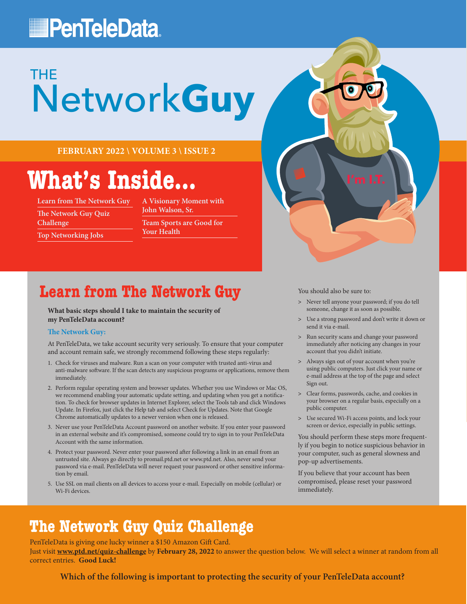## **PenTeleData**

# Network**Guy** THE

**FEBRUARY 2022 \ VOLUME 3 \ ISSUE 2**

## **What's Inside...**

**Learn from The Network Guy**

**The Network Guy Quiz Challenge**

**Top Networking Jobs**

**A Visionary Moment with John Walson, Sr. Team Sports are Good for Your Health**

### **Learn from The Network Guy**

**What basic steps should I take to maintain the security of my PenTeleData account?**

#### **The Network Guy:**

At PenTeleData, we take account security very seriously. To ensure that your computer and account remain safe, we strongly recommend following these steps regularly:

- 1. Check for viruses and malware. Run a scan on your computer with trusted anti-virus and anti-malware software. If the scan detects any suspicious programs or applications, remove them immediately.
- 2. Perform regular operating system and browser updates. Whether you use Windows or Mac OS, we recommend enabling your automatic update setting, and updating when you get a notification. To check for browser updates in Internet Explorer, select the Tools tab and click Windows Update. In Firefox, just click the Help tab and select Check for Updates. Note that Google Chrome automatically updates to a newer version when one is released.
- 3. Never use your PenTeleData Account password on another website. If you enter your password in an external website and it's compromised, someone could try to sign in to your PenTeleData Account with the same information.
- 4. Protect your password. Never enter your password after following a link in an email from an untrusted site. Always go directly to promail.ptd.net or [www.ptd.net. Al](http://www.ptd.net)so, never send your password via e-mail. PenTeleData will never request your password or other sensitive information by email.
- 5. Use SSL on mail clients on all devices to access your e-mail. Especially on mobile (cellular) or Wi-Fi devices.

You should also be sure to:

**>** Never tell anyone your password; if you do tell someone, change it as soon as possible.

**I'm I.T.**

- **>** Use a strong password and don't write it down or send it via e-mail.
- **>** Run security scans and change your password immediately after noticing any changes in your account that you didn't initiate.
- **>** Always sign out of your account when you're using public computers. Just click your name or e-mail address at the top of the page and select Sign out.
- **>** Clear forms, passwords, cache, and cookies in your browser on a regular basis, especially on a public computer.
- **>** Use secured Wi-Fi access points, and lock your screen or device, especially in public settings.

You should perform these steps more frequently if you begin to notice suspicious behavior in your computer, such as general slowness and pop-up advertisements.

If you believe that your account has been compromised, please reset your password immediately.

### **The Network Guy Quiz Challenge**

PenTeleData is giving one lucky winner a \$150 Amazon Gift Card. Just visit **[www.ptd.net/quiz-challenge](http://www.ptd.net/quiz-challenge)** by **February 28, 2022** to answer the question below. We will select a winner at random from all correct entries. **Good Luck!**

**Which of the following is important to protecting the security of your PenTeleData account?**